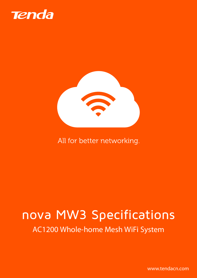



### All for better networking.

# nova MW3 Specifications

AC1200 Whole-home Mesh WiFi System

www.tendacn.com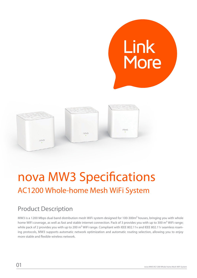

## nova MW3 Specifications AC1200 Whole-home Mesh WiFi System

### Product Description

MW3 is a 1200 Mbps dual band distribution mesh WiFi system designed for 100-300m² houses, bringing you with whole home WiFi coverage, as well as fast and stable internet connection. Pack of 3 provides you with up to 300 m<sup>2</sup> WiFi range; while pack of 2 provides you with up to 200 m<sup>2</sup> WiFi range. Compliant with IEEE 802.11v and IEEE 802.11r seamless roaming protocols, MW3 supports automatic network optimization and automatic routing selection, allowing you to enjoy more stable and flexible wireless network.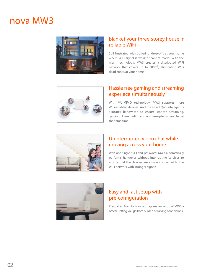### nova MW3



#### Blanket your three-storey house in reliable WiFi

Still frustrated with buffering, drop-offs at your home where WiFi signal is weak or cannot reach? With the mesh technology, MW3 creates a distributed WiFi network that covers up to 300m², eliminating WiFi dead zones at your home.



#### Hassle free gaming and streaming experiece simultaneously

With MU-MIMO technology, MW3 supports more WiFi-enabled devices. And the smart QoS intelligently allocates bandwidth to ensure smooth streaming, gaming, downloading and uninterrupted video chat at the same time.



#### Uninterrupted video chat while moving across your home

With one single SSID and password, MW3 automatically performs handover without interrupting services to ensure that the devices are always connected to the WiFi network with stronger signals.



#### Easy and fast setup with pre-configuration

Pre-paired from factory settings makes setup of MW3 a breeze, letting you go from burden of cabling connections.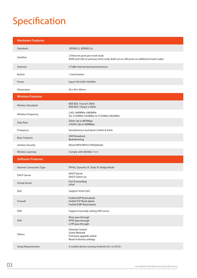## Specification

| <b>Hardware Features</b>  |                                                                                                                    |
|---------------------------|--------------------------------------------------------------------------------------------------------------------|
| Standards                 | IEEE802.3, IEEE802.3u                                                                                              |
| Interface                 | 2 Ethernet ports per mesh node<br>WAN and LAN on primary mesh node; Both act as LAN ports on additional mesh nodes |
| Antenna                   | 2*3dBi internal dual band antennas                                                                                 |
| <b>Button</b>             | 1 reset button                                                                                                     |
| Power                     | Input:100-240V-50/60Hz                                                                                             |
| <b>Dimensions</b>         | 90 x 90 x 90mm                                                                                                     |
| <b>Wireless Features</b>  |                                                                                                                    |
| <b>Wireless Standards</b> | IEEE 802.11ac/a/n 5GHz<br>IEEE 802.11b/g/n 2.4GHz                                                                  |
| <b>Wireless Frequency</b> | 2.4G: 2400MHz-2483MHz<br>5G: 5150MHz-5250MHz or 5725MHz-5825MHz                                                    |
| Data Rate                 | 5GHz: Up to 867Mbps<br>2.4GHz: Up to 300Mbps                                                                       |
| Frequency                 | Simultaneous dual band 2.4GHz & 5GHz                                                                               |
| <b>Basic Features</b>     | <b>SSID Broadcast</b><br>Beamforming                                                                               |
| wireless Security         | Mixed WPA/WPA2-PSK(default)                                                                                        |
| Wireless roaming          | Comply with IEEE802.11v/r                                                                                          |
| <b>Software Features</b>  |                                                                                                                    |
| Internet Connection Type  | PPPoE, Dynamic IP, Static IP, Bridge Mode                                                                          |
| <b>DHCP Server</b>        | <b>DHCP Server</b><br><b>DHCP Client List</b>                                                                      |
| <b>Virtual Server</b>     | Port Forwarding<br>UPnP                                                                                            |
| QoS                       | <b>Support Smart QoS</b>                                                                                           |
| Firewall                  | Forbid UDP flood attack<br>Forbid TCP flood attack<br>Forbid ICMP flood attack                                     |
| <b>DNS</b>                | Support manually setting DNS server                                                                                |
| <b>VPN</b>                | IPsec pass through<br>PPTP pass through<br>L2TP pass through                                                       |
| Others                    | <b>Parental Control</b><br><b>Guest Network</b><br>Firmware upgrade online<br>Reset to factory settings            |
| Setup Requirements        | A mobile device running Android 4.0+ or iOS 8+                                                                     |